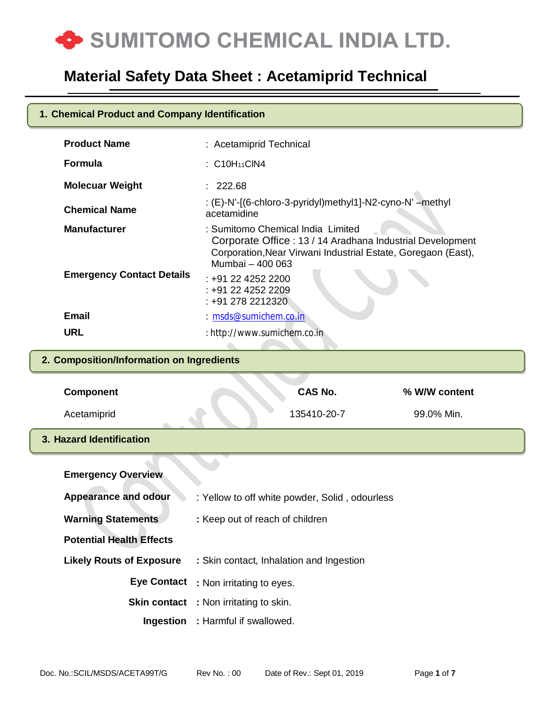

.

# **Product Name** : Acetamiprid Technical **Formula** : C10H<sub>11</sub>ClN4 **Molecuar Weight** : 222.68 **Chemical Name** : (E)-N'-[(6-chloro-3-pyridyl)methyl1]-N2-cyno-N' –methyl acetamidine **Manufacturer** : Sumitomo Chemical India Limited Corporate Office : 13 / 14 Aradhana Industrial Development Corporation,Near Virwani Industrial Estate, Goregaon (East), Mumbai – 400 063 **Emergency Contact Details** : +91 22 4252 2200 : +91 22 4252 2209 : +91 278 2212320 **Email** : msds@sumichem.co.in **URL** : http://www.sumichem.co.in **Component CAS No. % W/W content** Acetamiprid 135410-20-7 99.0% Min. **1. Chemical Product and Company Identification 2. Composition/Information on Ingredients 3. Hazard Identification**

| <b>Emergency Overview</b>       |                                                |
|---------------------------------|------------------------------------------------|
| <b>Appearance and odour</b>     | : Yellow to off white powder, Solid, odourless |
| <b>Warning Statements</b>       | : Keep out of reach of children                |
| <b>Potential Health Effects</b> |                                                |
| <b>Likely Routs of Exposure</b> | : Skin contact, Inhalation and Ingestion       |
|                                 | Eye Contact : Non irritating to eyes.          |
|                                 | <b>Skin contact</b> : Non irritating to skin.  |
|                                 | <b>Ingestion</b> : Harmful if swallowed.       |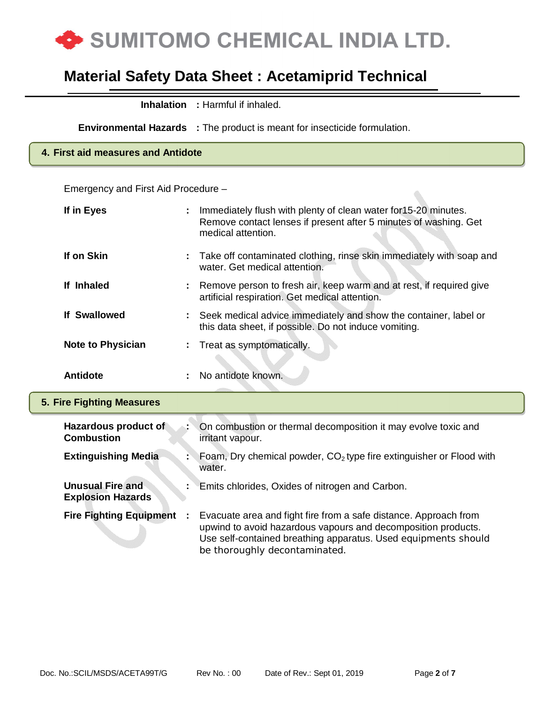

| <b>Inhalation</b>                                   |  | : Harmful if inhaled.                                                                                                                                                                                                                |  |  |  |
|-----------------------------------------------------|--|--------------------------------------------------------------------------------------------------------------------------------------------------------------------------------------------------------------------------------------|--|--|--|
|                                                     |  | <b>Environmental Hazards</b> : The product is meant for insecticide formulation.                                                                                                                                                     |  |  |  |
| 4. First aid measures and Antidote                  |  |                                                                                                                                                                                                                                      |  |  |  |
| Emergency and First Aid Procedure -                 |  |                                                                                                                                                                                                                                      |  |  |  |
| If in Eyes                                          |  | Immediately flush with plenty of clean water for 15-20 minutes.<br>Remove contact lenses if present after 5 minutes of washing. Get<br>medical attention.                                                                            |  |  |  |
| If on Skin                                          |  | Take off contaminated clothing, rinse skin immediately with soap and<br>water. Get medical attention.                                                                                                                                |  |  |  |
| If Inhaled                                          |  | Remove person to fresh air, keep warm and at rest, if required give<br>artificial respiration. Get medical attention.                                                                                                                |  |  |  |
| <b>If Swallowed</b>                                 |  | Seek medical advice immediately and show the container, label or<br>this data sheet, if possible. Do not induce vomiting.                                                                                                            |  |  |  |
| <b>Note to Physician</b>                            |  | Treat as symptomatically.                                                                                                                                                                                                            |  |  |  |
| <b>Antidote</b>                                     |  | No antidote known.                                                                                                                                                                                                                   |  |  |  |
| <b>5. Fire Fighting Measures</b>                    |  |                                                                                                                                                                                                                                      |  |  |  |
| Hazardous product of<br><b>Combustion</b>           |  | On combustion or thermal decomposition it may evolve toxic and<br>irritant vapour.                                                                                                                                                   |  |  |  |
| <b>Extinguishing Media</b>                          |  | Foam, Dry chemical powder, $CO2$ type fire extinguisher or Flood with<br>water.                                                                                                                                                      |  |  |  |
| <b>Unusual Fire and</b><br><b>Explosion Hazards</b> |  | Emits chlorides, Oxides of nitrogen and Carbon.                                                                                                                                                                                      |  |  |  |
| <b>Fire Fighting Equipment</b>                      |  | Evacuate area and fight fire from a safe distance. Approach from<br>upwind to avoid hazardous vapours and decomposition products.<br>Use self-contained breathing apparatus. Used equipments should<br>be thoroughly decontaminated. |  |  |  |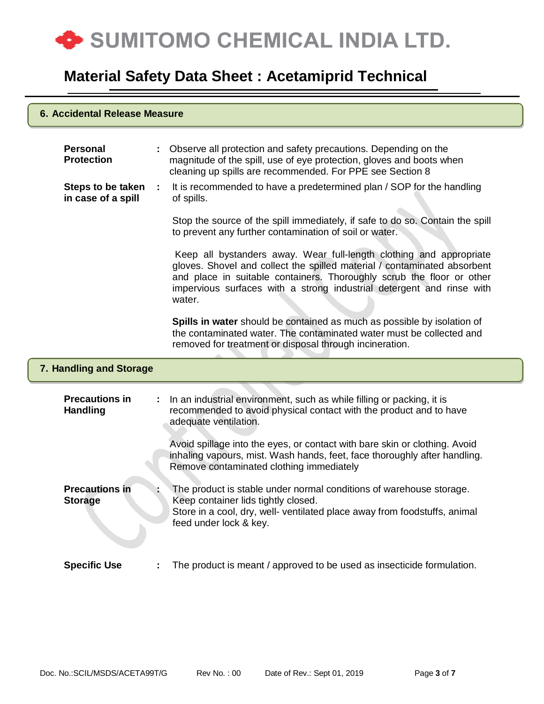

### **6. Accidental Release Measure**

| <b>Personal</b><br><b>Protection</b>     |    | Observe all protection and safety precautions. Depending on the<br>magnitude of the spill, use of eye protection, gloves and boots when<br>cleaning up spills are recommended. For PPE see Section 8                                                                                                        |
|------------------------------------------|----|-------------------------------------------------------------------------------------------------------------------------------------------------------------------------------------------------------------------------------------------------------------------------------------------------------------|
| Steps to be taken<br>in case of a spill  | ÷. | It is recommended to have a predetermined plan / SOP for the handling<br>of spills.                                                                                                                                                                                                                         |
|                                          |    | Stop the source of the spill immediately, if safe to do so. Contain the spill<br>to prevent any further contamination of soil or water.                                                                                                                                                                     |
|                                          |    | Keep all bystanders away. Wear full-length clothing and appropriate<br>gloves. Shovel and collect the spilled material / contaminated absorbent<br>and place in suitable containers. Thoroughly scrub the floor or other<br>impervious surfaces with a strong industrial detergent and rinse with<br>water. |
|                                          |    | Spills in water should be contained as much as possible by isolation of<br>the contaminated water. The contaminated water must be collected and<br>removed for treatment or disposal through incineration.                                                                                                  |
|                                          |    |                                                                                                                                                                                                                                                                                                             |
| 7. Handling and Storage                  |    |                                                                                                                                                                                                                                                                                                             |
| <b>Precautions in</b><br><b>Handling</b> |    | In an industrial environment, such as while filling or packing, it is<br>recommended to avoid physical contact with the product and to have<br>adequate ventilation.                                                                                                                                        |
|                                          |    | Avoid spillage into the eyes, or contact with bare skin or clothing. Avoid<br>inhaling vapours, mist. Wash hands, feet, face thoroughly after handling.<br>Remove contaminated clothing immediately                                                                                                         |
| <b>Precautions in</b><br><b>Storage</b>  |    | The product is stable under normal conditions of warehouse storage.<br>Keep container lids tightly closed.<br>Store in a cool, dry, well- ventilated place away from foodstuffs, animal<br>feed under lock & key.                                                                                           |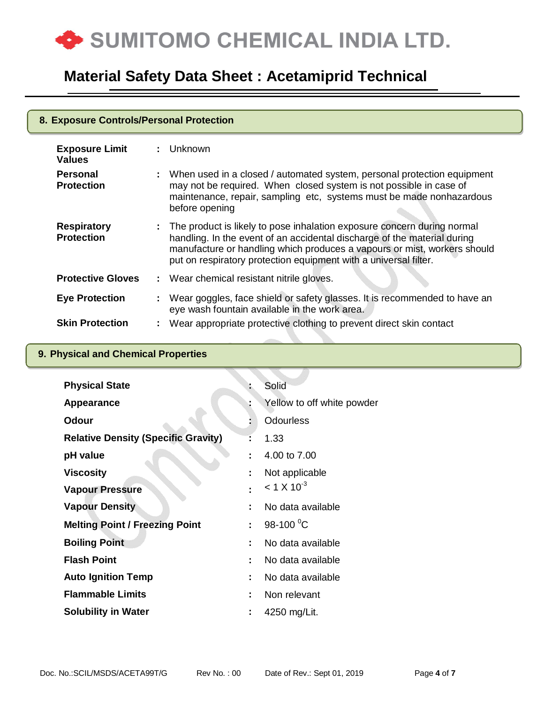

| 8. Exposure Controls/Personal Protection |  |                                                                                                                                                                                                                                                                                                       |
|------------------------------------------|--|-------------------------------------------------------------------------------------------------------------------------------------------------------------------------------------------------------------------------------------------------------------------------------------------------------|
| <b>Exposure Limit</b><br><b>Values</b>   |  | : Unknown                                                                                                                                                                                                                                                                                             |
| <b>Personal</b><br><b>Protection</b>     |  | : When used in a closed / automated system, personal protection equipment<br>may not be required. When closed system is not possible in case of<br>maintenance, repair, sampling etc, systems must be made nonhazardous<br>before opening                                                             |
| <b>Respiratory</b><br><b>Protection</b>  |  | : The product is likely to pose inhalation exposure concern during normal<br>handling. In the event of an accidental discharge of the material during<br>manufacture or handling which produces a vapours or mist, workers should<br>put on respiratory protection equipment with a universal filter. |
| <b>Protective Gloves</b>                 |  | : Wear chemical resistant nitrile gloves.                                                                                                                                                                                                                                                             |
| <b>Eye Protection</b>                    |  | : Wear goggles, face shield or safety glasses. It is recommended to have an<br>eye wash fountain available in the work area.                                                                                                                                                                          |
| <b>Skin Protection</b>                   |  | : Wear appropriate protective clothing to prevent direct skin contact                                                                                                                                                                                                                                 |

## **9. Physical and Chemical Properties**

| <b>Physical State</b>                      |   | Solid                      |
|--------------------------------------------|---|----------------------------|
| <b>Appearance</b>                          |   | Yellow to off white powder |
| <b>Odour</b>                               |   | <b>Odourless</b>           |
| <b>Relative Density (Specific Gravity)</b> |   | 1.33                       |
| pH value                                   | t | 4.00 to 7.00               |
| <b>Viscosity</b>                           |   | Not applicable             |
| <b>Vapour Pressure</b>                     |   | $<$ 1 X 10 <sup>-3</sup>   |
| <b>Vapour Density</b>                      |   | No data available          |
| <b>Melting Point / Freezing Point</b>      |   | 98-100 $^{0}$ C            |
| <b>Boiling Point</b>                       |   | No data available          |
| <b>Flash Point</b>                         |   | No data available          |
| <b>Auto Ignition Temp</b>                  |   | No data available          |
| <b>Flammable Limits</b>                    |   | Non relevant               |
| <b>Solubility in Water</b>                 |   | 4250 mg/Lit.               |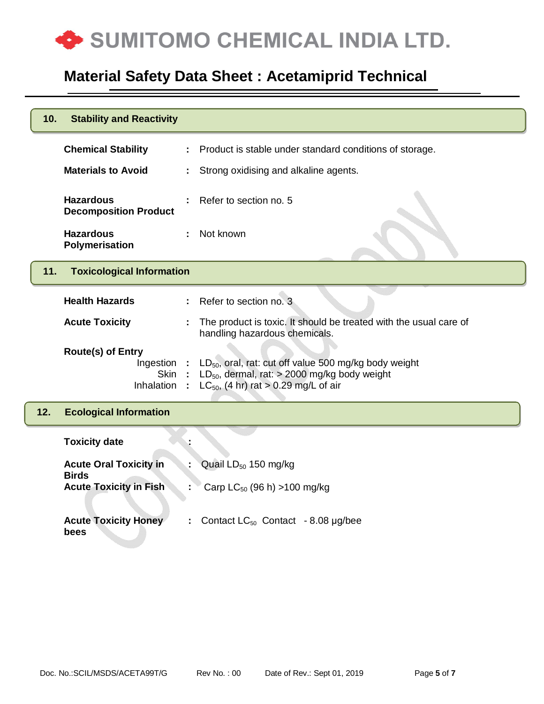

| 10. | <b>Stability and Reactivity</b>                                 |                                                                                                                                                                     |
|-----|-----------------------------------------------------------------|---------------------------------------------------------------------------------------------------------------------------------------------------------------------|
|     | <b>Chemical Stability</b>                                       | Product is stable under standard conditions of storage.                                                                                                             |
|     | <b>Materials to Avoid</b>                                       | Strong oxidising and alkaline agents.                                                                                                                               |
|     | <b>Hazardous</b><br><b>Decomposition Product</b>                | Refer to section no. 5                                                                                                                                              |
|     | <b>Hazardous</b><br>Polymerisation                              | Not known                                                                                                                                                           |
| 11. | <b>Toxicological Information</b>                                |                                                                                                                                                                     |
|     | <b>Health Hazards</b>                                           | Refer to section no. 3                                                                                                                                              |
|     | <b>Acute Toxicity</b>                                           | The product is toxic. It should be treated with the usual care of<br>handling hazardous chemicals.                                                                  |
|     | <b>Route(s) of Entry</b><br>Ingestion :<br>Skin<br>Inhalation : | LD <sub>50</sub> , oral, rat: cut off value 500 mg/kg body weight<br>$LD_{50}$ , dermal, rat: > 2000 mg/kg body weight<br>$LC_{50}$ , (4 hr) rat > 0.29 mg/L of air |
| 12. | <b>Ecological Information</b>                                   |                                                                                                                                                                     |
|     | <b>Toxicity date</b>                                            |                                                                                                                                                                     |
|     | <b>Acute Oral Toxicity in</b><br><b>Birds</b>                   | Quail LD <sub>50</sub> 150 mg/kg                                                                                                                                    |
|     | <b>Acute Toxicity in Fish</b>                                   | Carp $LC_{50}$ (96 h) >100 mg/kg                                                                                                                                    |
|     | <b>Acute Toxicity Honey</b><br>bees                             | Contact $LC_{50}$ Contact - 8.08 µg/bee                                                                                                                             |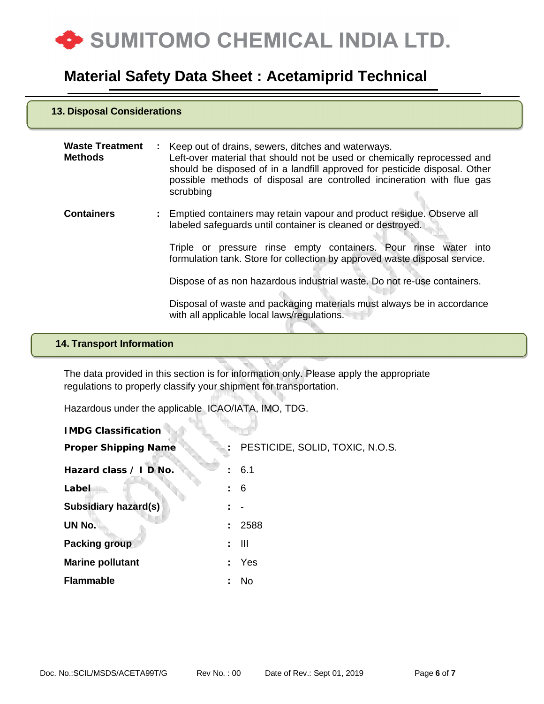

#### **13. Disposal Considerations**

.

| <b>Waste Treatment</b><br><b>Methods</b> | : Keep out of drains, sewers, ditches and waterways.<br>Left-over material that should not be used or chemically reprocessed and<br>should be disposed of in a landfill approved for pesticide disposal. Other<br>possible methods of disposal are controlled incineration with flue gas<br>scrubbing |
|------------------------------------------|-------------------------------------------------------------------------------------------------------------------------------------------------------------------------------------------------------------------------------------------------------------------------------------------------------|
| <b>Containers</b>                        | : Emptied containers may retain vapour and product residue. Observe all<br>labeled safeguards until container is cleaned or destroyed.                                                                                                                                                                |
|                                          | Triple or pressure rinse empty containers. Pour rinse water into<br>formulation tank. Store for collection by approved waste disposal service.                                                                                                                                                        |
|                                          | Dispose of as non hazardous industrial waste. Do not re-use containers.                                                                                                                                                                                                                               |
|                                          | Disposal of waste and packaging materials must always be in accordance<br>with all applicable local laws/regulations.                                                                                                                                                                                 |

## **14. Transport Information**

The data provided in this section is for information only. Please apply the appropriate regulations to properly classify your shipment for transportation.

Hazardous under the applicable ICAO/IATA, IMO, TDG.

| <b>IMDG Classification</b>  |     |                                   |
|-----------------------------|-----|-----------------------------------|
| <b>Proper Shipping Name</b> |     | : PESTICIDE, SOLID, TOXIC, N.O.S. |
| Hazard class / I D No.      |     | : 6.1                             |
| Label                       | : 6 |                                   |
| <b>Subsidiary hazard(s)</b> |     |                                   |
| UN No.                      |     | : 2588                            |
| <b>Packing group</b>        |     | $:$ $\mathbb H$                   |
| <b>Marine pollutant</b>     |     | : Yes                             |
| <b>Flammable</b>            |     | No                                |